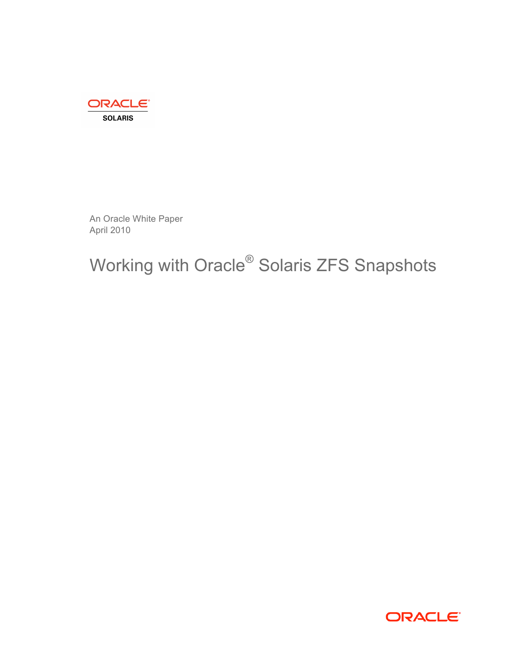

An Oracle White Paper April 2010

# Working with Oracle<sup>®</sup> Solaris ZFS Snapshots

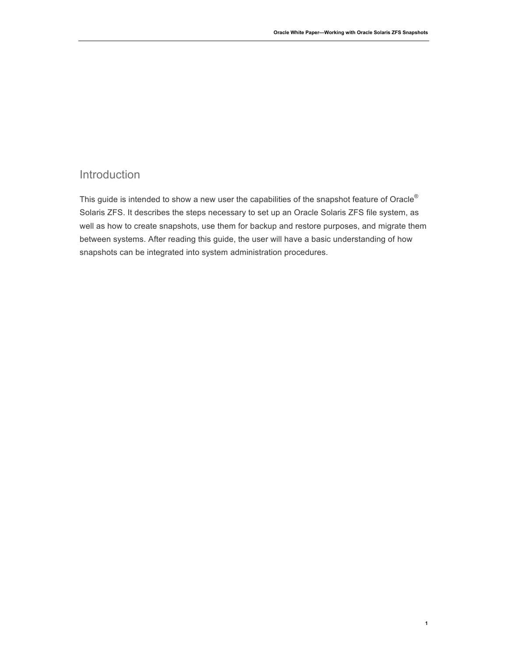**1**

# Introduction

This guide is intended to show a new user the capabilities of the snapshot feature of Oracle® Solaris ZFS. It describes the steps necessary to set up an Oracle Solaris ZFS file system, as well as how to create snapshots, use them for backup and restore purposes, and migrate them between systems. After reading this guide, the user will have a basic understanding of how snapshots can be integrated into system administration procedures.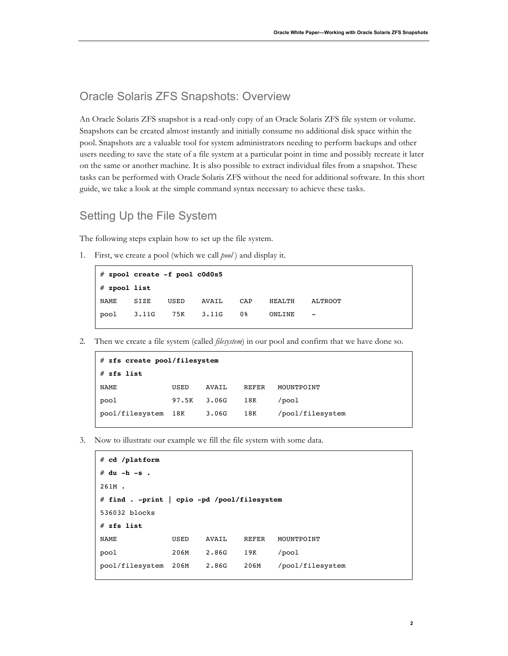## Oracle Solaris ZFS Snapshots: Overview

An Oracle Solaris ZFS snapshot is a read-only copy of an Oracle Solaris ZFS file system or volume. Snapshots can be created almost instantly and initially consume no additional disk space within the pool. Snapshots are a valuable tool for system administrators needing to perform backups and other users needing to save the state of a file system at a particular point in time and possibly recreate it later on the same or another machine. It is also possible to extract individual files from a snapshot. These tasks can be performed with Oracle Solaris ZFS without the need for additional software. In this short guide, we take a look at the simple command syntax necessary to achieve these tasks.

## Setting Up the File System

The following steps explain how to set up the file system.

1. First, we create a pool (which we call *pool* ) and display it.

```
# zpool create -f pool c0d0s5
# zpool list
NAME SIZE USED AVAIL CAP HEALTH ALTROOT
pool 3.11G 75K 3.11G 0% ONLINE -
```
2. Then we create a file system (called *filesystem*) in our pool and confirm that we have done so.

```
# zfs create pool/filesystem
# zfs list
NAME USED AVAIL REFER MOUNTPOINT
pool 97.5K 3.06G 18K /pool
pool/filesystem 18K 3.06G 18K /pool/filesystem
```
3. Now to illustrate our example we fill the file system with some data.

```
# cd /platform
# du -h -s .
261M .
# find . -print | cpio -pd /pool/filesystem
536032 blocks
# zfs list
NAME USED AVAIL REFER MOUNTPOINT
pool 206M 2.86G 19K /pool
pool/filesystem 206M 2.86G 206M /pool/filesystem
```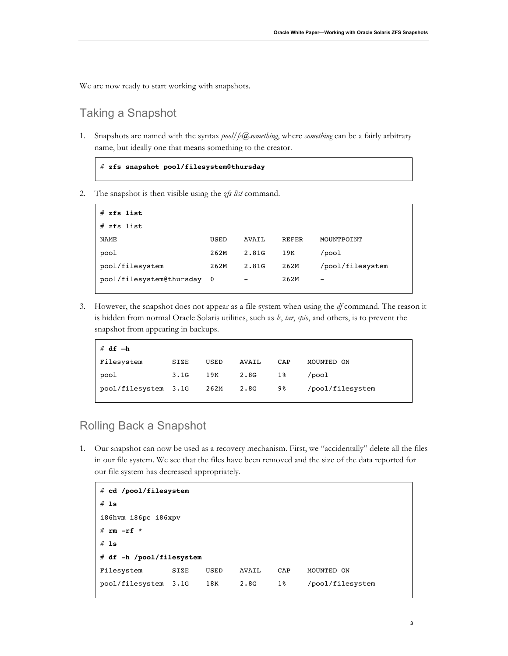We are now ready to start working with snapshots.

## Taking a Snapshot

1. Snapshots are named with the syntax *pool/fs@something*, where *something* can be a fairly arbitrary name, but ideally one that means something to the creator.



2. The snapshot is then visible using the *zfs list* command.

| zfs list<br>#              |      |       |              |                  |
|----------------------------|------|-------|--------------|------------------|
| zfs list<br>#              |      |       |              |                  |
| NAME                       | USED | AVAIL | <b>REFER</b> | MOUNTPOINT       |
| pool                       | 262M | 2.81G | 19K          | /pool            |
| pool/filesystem            | 262M | 2.81G | 262M         | /pool/filesystem |
| pool/filesystem@thursday 0 |      | -     | 262M         | -                |

3. However, the snapshot does not appear as a file system when using the *df* command. The reason it is hidden from normal Oracle Solaris utilities, such as *ls*, *tar*, *cpio*, and others, is to prevent the snapshot from appearing in backups.

| $# df - h$           |      |      |       |     |                  |
|----------------------|------|------|-------|-----|------------------|
| Filesystem           | SIZE | USED | AVAIL | CAP | MOUNTED ON       |
| pool                 | 3.1G | 19K  | 2.8G  | 18  | /pool            |
| pool/filesystem 3.1G |      | 262M | 2.8G  | 98  | /pool/filesystem |

# Rolling Back a Snapshot

1. Our snapshot can now be used as a recovery mechanism. First, we "accidentally" delete all the files in our file system. We see that the files have been removed and the size of the data reported for our file system has decreased appropriately.

```
# cd /pool/filesystem
# ls
i86hvm i86pc i86xpv
# rm -rf *
# ls
# df -h /pool/filesystem
Filesystem SIZE USED AVAIL CAP MOUNTED ON
pool/filesystem 3.1G 18K 2.8G 1% /pool/filesystem
```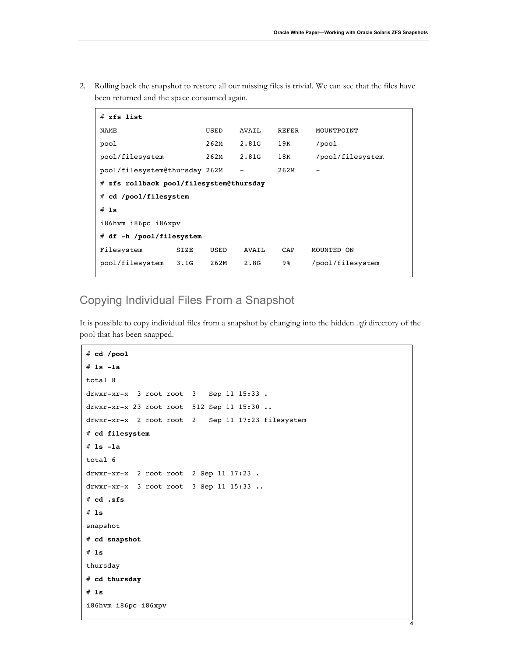**4**

2. Rolling back the snapshot to restore all our missing files is trivial. We can see that the files have been returned and the space consumed again.

| $#$ zfs list                            |      |       |       |                  |
|-----------------------------------------|------|-------|-------|------------------|
| NAME                                    | USED | AVAIL | REFER | MOUNTPOINT       |
| pool                                    | 262M | 2.81G | 19K   | $/$ pool         |
| pool/filesystem                         | 262M | 2.81G | 18K   | /pool/filesystem |
| pool/filesystem@thursday 262M           |      |       | 262M  |                  |
| # zfs rollback pool/filesystem@thursday |      |       |       |                  |
| $#$ cd /pool/filesystem                 |      |       |       |                  |
| $#$ 1s                                  |      |       |       |                  |
| i86hvm i86pc i86xpv                     |      |       |       |                  |
| # df -h /pool/filesystem                |      |       |       |                  |
| Filesystem<br>SIZE                      | USED | AVAIL | CAP   | MOUNTED ON       |
| pool/filesystem<br>3.1G                 | 262M | 2.8G  | 9%    | /pool/filesystem |

# Copying Individual Files From a Snapshot

It is possible to copy individual files from a snapshot by changing into the hidden *.zfs* directory of the pool that has been snapped.

```
# cd /pool
# ls -la
total 8
drwxr-xr-x 3 root root 3 Sep 11 15:33 .
drwxr-xr-x 23 root root 512 Sep 11 15:30 ..
drwxr-xr-x 2 root root 2 Sep 11 17:23 filesystem
# cd filesystem
# ls -la
total 6
drwxr-xr-x 2 root root 2 Sep 11 17:23 .
drwxr-xr-x 3 root root 3 Sep 11 15:33 ..
# cd .zfs
# ls
snapshot
# cd snapshot
# ls
thursday
# cd thursday
# ls
i86hvm i86pc i86xpv
```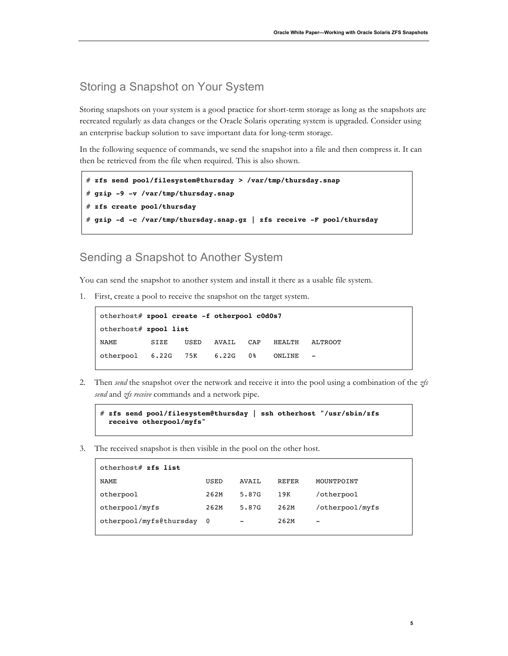#### Storing a Snapshot on Your System

Storing snapshots on your system is a good practice for short-term storage as long as the snapshots are recreated regularly as data changes or the Oracle Solaris operating system is upgraded. Consider using an enterprise backup solution to save important data for long-term storage.

In the following sequence of commands, we send the snapshot into a file and then compress it. It can then be retrieved from the file when required. This is also shown.

```
# zfs send pool/filesystem@thursday > /var/tmp/thursday.snap
# gzip -9 -v /var/tmp/thursday.snap
# zfs create pool/thursday
# gzip -d -c /var/tmp/thursday.snap.gz | zfs receive -F pool/thursday
```
## Sending a Snapshot to Another System

You can send the snapshot to another system and install it there as a usable file system.

1. First, create a pool to receive the snapshot on the target system.

```
otherhost# zpool create -f otherpool c0d0s7
otherhost# zpool list
NAME SIZE USED AVAIL CAP HEALTH ALTROOT
otherpool 6.22G 75K 6.22G 0% ONLINE -
```
2. Then *send* the snapshot over the network and receive it into the pool using a combination of the *zfs send* and *zfs receive* commands and a network pipe.

```
# zfs send pool/filesystem@thursday | ssh otherhost "/usr/sbin/zfs 
  receive otherpool/myfs"
```
3. The received snapshot is then visible in the pool on the other host.

| otherhost# zfs list       |      |                          |              |                 |
|---------------------------|------|--------------------------|--------------|-----------------|
| NAME                      | USED | AVATT.                   | <b>REFER</b> | MOUNTPOINT      |
| otherpool                 | 262M | 5.87G                    | 19K          | /otherpool      |
| otherpool/myfs            | 262M | 5.87G                    | 262M         | /otherpool/myfs |
| otherpool/myfs@thursday 0 |      | $\overline{\phantom{0}}$ | 262M         | -               |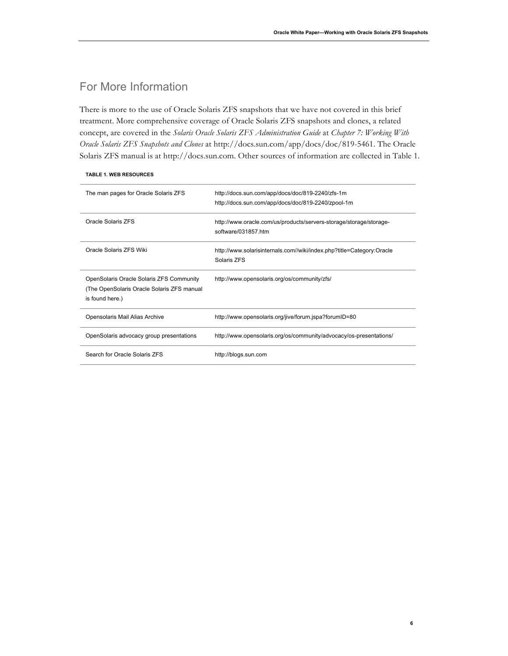**6**

# For More Information

There is more to the use of Oracle Solaris ZFS snapshots that we have not covered in this brief treatment. More comprehensive coverage of Oracle Solaris ZFS snapshots and clones, a related concept, are covered in the *Solaris Oracle Solaris ZFS Administration Guide* at *Chapter 7: Working With Oracle Solaris ZFS Snapshots and Clones* at http://docs.sun.com/app/docs/doc/819-5461. The Oracle Solaris ZFS manual is at http://docs.sun.com. Other sources of information are collected in Table 1.

#### **TABLE 1. WEB RESOURCES**

| The man pages for Oracle Solaris ZFS                                                                      | http://docs.sun.com/app/docs/doc/819-2240/zfs-1m<br>http://docs.sun.com/app/docs/doc/819-2240/zpool-1m |
|-----------------------------------------------------------------------------------------------------------|--------------------------------------------------------------------------------------------------------|
| Oracle Solaris ZFS                                                                                        | http://www.oracle.com/us/products/servers-storage/storage/storage-<br>software/031857 htm              |
| Oracle Solaris ZFS Wiki                                                                                   | http://www.solarisinternals.com//wiki/index.php?title=Category:Oracle<br>Solaris 7FS                   |
| OpenSolaris Oracle Solaris ZFS Community<br>(The OpenSolaris Oracle Solaris ZFS manual<br>is found here.) | http://www.opensolaris.org/os/community/zfs/                                                           |
| Opensolaris Mail Alias Archive                                                                            | http://www.opensolaris.org/jive/forum.jspa?forumID=80                                                  |
| OpenSolaris advocacy group presentations                                                                  | http://www.opensolaris.org/os/community/advocacy/os-presentations/                                     |
| Search for Oracle Solaris ZFS                                                                             | http://blogs.sun.com                                                                                   |